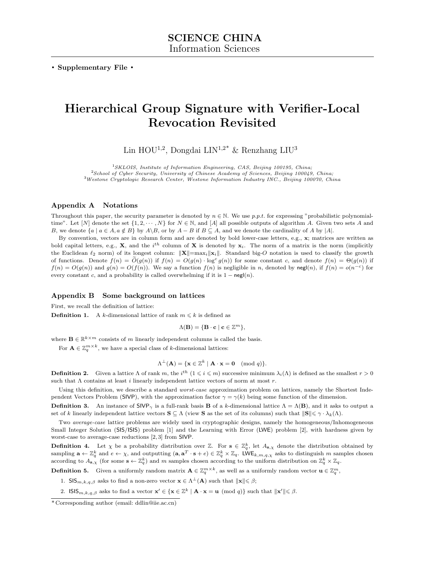. Supplementary File .

# Hierarchical Group Signature with Verifier-Local Revocation Revisited

Lin HOU<sup>1,2</sup>, Dongdai LIN<sup>1,2\*</sup> & Renzhang LIU<sup>3</sup>

 $1$ SKLOIS, Institute of Information Engineering, CAS, Beijing 100195, China;  $2$ School of Cyber Security, University of Chinese Academy of Sciences, Beijing 100049, China; <sup>3</sup>Westone Cryptologic Research Center, Westone Information Industry INC., Beijing 100070, China

# Appendix A Notations

Throughout this paper, the security parameter is denoted by  $n \in \mathbb{N}$ . We use p.p.t. for expressing "probabilistic polynomialtime". Let  $[N]$  denote the set  $\{1, 2, \dots, N\}$  for  $N \in \mathbb{N}$ , and  $[A]$  all possible outputs of algorithm A. Given two sets A and B, we denote  $\{a \mid a \in A, a \notin B\}$  by  $A \setminus B$ , or by  $A - B$  if  $B \subseteq A$ , and we denote the cardinality of A by  $|A|$ .

By convention, vectors are in column form and are denoted by bold lower-case letters, e.g.,  $\mathbf{x}$ ; matrices are written as bold capital letters, e.g., **X**, and the i<sup>th</sup> column of **X** is denoted by  $x_i$ . The norm of a matrix is the norm (implicitly the Euclidean  $\ell_2$  norm) of its longest column:  $\|\mathbf{X}\|=\max_i\|\mathbf{x}_i\|$ . Standard big-O notation is used to classify the growth of functions. Denote  $f(n) = \tilde{O}(g(n))$  if  $f(n) = O(g(n) \cdot \log^c g(n))$  for some constant c, and denote  $f(n) = \Theta(g(n))$  if  $f(n) = O(g(n))$  and  $g(n) = O(f(n))$ . We say a function  $f(n)$  is negligible in n, denoted by negl(n), if  $f(n) = o(n^{-c})$  for every constant c, and a probability is called overwhelming if it is  $1 - \text{negl}(n)$ .

#### Appendix B Some background on lattices

First, we recall the definition of lattice:

**Definition 1.** A k-dimensional lattice of rank  $m \leq k$  is defined as

$$
\Lambda(\mathbf{B}) = \{ \mathbf{B} \cdot \mathbf{c} \mid \mathbf{c} \in \mathbb{Z}^m \},
$$

where  $\mathbf{B} \in \mathbb{R}^{k \times m}$  consists of m linearly independent columns is called the basis.

For  $\mathbf{A} \in \mathbb{Z}_q^{m \times k}$ , we have a special class of k-dimensional lattices:

$$
\Lambda^{\perp}(\mathbf{A}) = \{ \mathbf{x} \in \mathbb{Z}^k \mid \mathbf{A} \cdot \mathbf{x} = \mathbf{0} \pmod{q} \}.
$$

**Definition 2.** Given a lattice  $\Lambda$  of rank  $m$ , the i<sup>th</sup>  $(1 \leq i \leq m)$  successive minimum  $\lambda_i(\Lambda)$  is defined as the smallest  $r > 0$ such that  $\Lambda$  contains at least *i* linearly independent lattice vectors of norm at most  $r$ .

Using this definition, we describe a standard worst-case approximation problem on lattices, namely the Shortest Independent Vectors Problem (SIVP), with the approximation factor  $\gamma = \gamma(k)$  being some function of the dimension.

**Definition 3.** An instance of  $SIVP_{\gamma}$  is a full-rank basis **B** of a k-dimensional lattice  $\Lambda = \Lambda(B)$ , and it asks to output a set of k linearly independent lattice vectors  $S \subseteq \Lambda$  (view S as the set of its columns) such that  $||S|| \leq \gamma \cdot \lambda_k(\Lambda)$ .

Two average-case lattice problems are widely used in cryptographic designs, namely the homogeneous/Inhomogeneous Small Integer Solution (SIS/ISIS) problem [\[1\]](#page-7-0) and the Learning with Error (LWE) problem [\[2\]](#page-7-1), with hardness given by worst-case to average-case reductions [\[2,](#page-7-1) [3\]](#page-7-2) from SIVP.

**Definition 4.** Let  $\chi$  be a probability distribution over Z. For  $s \in \mathbb{Z}_q^k$ , let  $A_{s,\chi}$  denote the distribution obtained by sampling  $\mathbf{a} \leftarrow \mathbb{Z}_q^k$  and  $e \leftarrow \chi$ , and outputting  $(\mathbf{a}, \mathbf{a}^T \cdot \mathbf{s} + e) \in \mathbb{Z}_q^k \times \mathbb{Z}_q$ . LWE<sub>k, m, q,  $\chi$ </sub> asks to distinguish m samples chosen according to  $A_{\mathbf{s},\chi}$  (for some  $\mathbf{s} \leftarrow \mathbb{Z}_q^k$ ) and m samples chosen according to the uniform distribution on  $\mathbb{Z}_q^k \times \mathbb{Z}_q$ .

**Definition 5.** Given a uniformly random matrix  $A \in \mathbb{Z}_q^{m \times k}$ , as well as a uniformly random vector  $\mathbf{u} \in \mathbb{Z}_q^m$ ,

1. SIS<sub>m,k,q,β</sub> asks to find a non-zero vector  $\mathbf{x} \in \Lambda^{\perp}(\mathbf{A})$  such that  $\|\mathbf{x}\| \leq \beta$ ;

2. ISIS<sub>m,k,q, $\beta$ </sub> asks to find a vector  $\mathbf{x}' \in {\mathbf{x} \in \mathbb{Z}^k \mid \mathbf{A} \cdot \mathbf{x} = \mathbf{u} \pmod{q}}$  such that  $\|\mathbf{x}'\| \leq \beta$ .

<sup>\*</sup> Corresponding author (email: ddlin@iie.ac.cn)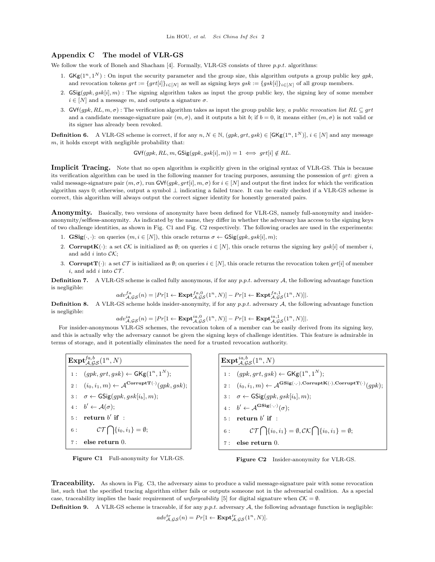#### Appendix C The model of VLR-GS

We follow the work of Boneh and Shacham  $[4]$ . Formally, VLR-GS consists of three p.p.t. algorithms:

- 1.  $GKg(1^n, 1^N)$ : On input the security parameter and the group size, this algorithm outputs a group public key gpk, and revocation tokens  $grt := \{grt[i]\}_{i \in [N]}$  as well as signing keys  $gsk := \{gsk[i]\}_{i \in [N]}$  of all group members.
- 2.  $GSig(gpk, gsk[i], m)$ : The signing algorithm takes as input the group public key, the signing key of some member  $i \in [N]$  and a message m, and outputs a signature  $\sigma$ .
- 3. GVf(gpk, RL,  $m, \sigma$ ) : The verification algorithm takes as input the group public key, a public revocation list RL  $\subseteq$  grt and a candidate message-signature pair  $(m, \sigma)$ , and it outputs a bit b; if  $b = 0$ , it means either  $(m, \sigma)$  is not valid or its signer has already been revoked.

**Definition 6.** A VLR-GS scheme is correct, if for any n,  $N \in \mathbb{N}$ ,  $(qpk, qt, qsk) \in [GKg(1^n, 1^N)]$ ,  $i \in [N]$  and any message  $m$ , it holds except with negligible probability that:

$$
\mathsf{GVf}(gpk, RL, m, \mathsf{GSig}(gpk, gsk[i], m)) = 1 \iff grt[i] \notin RL.
$$

Implicit Tracing. Note that no open algorithm is explicitly given in the original syntax of VLR-GS. This is because its verification algorithm can be used in the following manner for tracing purposes, assuming the possession of grt: given a valid message-signature pair  $(m, \sigma)$ , run GVf(gpk, grt[i],  $m, \sigma$ ) for  $i \in [N]$  and output the first index for which the verification algorithm says 0; otherwise, output a symbol ⊥ indicating a failed trace. It can be easily checked if a VLR-GS scheme is correct, this algorithm will always output the correct signer identity for honestly generated pairs.

Anonymity. Basically, two versions of anonymity have been defined for VLR-GS, namely full-anonymity and insideranonymity/selfless-anonymity. As indicated by the name, they differ in whether the adversary has access to the signing keys of two challenge identities, as shown in Fig. [C1](#page-1-0) and Fig. [C2](#page-1-0) respectively. The following oracles are used in the experiments:

- 1.  $\textbf{GSig}(\cdot, \cdot)$ : on queries  $(m, i \in [N])$ , this oracle returns  $\sigma \leftarrow \textbf{GSig}(gpk, gsk[i], m)$ ;
- 2. CorruptK( $\cdot$ ): a set  $\mathcal{CK}$  is initialized as  $\emptyset$ ; on queries  $i \in [N]$ , this oracle returns the signing key gsk[i] of member i, and add  $i$  into  $\mathcal{CK};$
- 3. **CorruptT**( $\cdot$ ): a set  $\mathcal{CT}$  is initialized as  $\emptyset$ ; on queries  $i \in [N]$ , this oracle returns the revocation token grt[i] of member i, and add i into  $\mathcal{CT}$ .

**Definition 7.** A VLR-GS scheme is called fully anonymous, if for any  $p.p.t.$  adversary  $A$ , the following advantage function is negligible:

$$
adv_{\mathcal{A},\mathcal{GS}}^{fa}(n) = |Pr[1 \leftarrow \mathbf{Expt}_{\mathcal{A},\mathcal{GS}}^{fa,0}(1^n,N)] - Pr[1 \leftarrow \mathbf{Expt}_{\mathcal{A},\mathcal{GS}}^{fa,1}(1^n,N)]|.
$$

**Definition 8.** A VLR-GS scheme holds insider-anonymity, if for any  $p.p.t.$  adversary  $A$ , the following advantage function is negligible:

 $adv_{\mathcal{A},\mathcal{GS}}^{ia}(n) = |Pr[1 \leftarrow \textbf{Expt}_{\mathcal{A},\mathcal{GS}}^{ia,0}(1^n,N)] - Pr[1 \leftarrow \textbf{Expt}_{\mathcal{A},\mathcal{GS}}^{ia,1}(1^n,N)]|.$ 

For insider-anonymous VLR-GS schemes, the revocation token of a member can be easily derived from its signing key, and this is actually why the adversary cannot be given the signing keys of challenge identities. This feature is admirable in terms of storage, and it potentially eliminates the need for a trusted revocation authority.

<span id="page-1-0"></span> $\mathbf{Expt}_{\mathcal{A},\mathcal{GS}}^{fa,b}(1^n,N)$ 1:  $(gpk, grt, gsk) \leftarrow \mathsf{GKg}(1^n, 1^N);$  $2:\ \ \ (i_0,i_1,m)\leftarrow \mathcal{A}^{\mathbf{CorruptT}(\cdot)}(gpk,gsk);$  $3: \quad \sigma \leftarrow \textsf{GSig}(gpk, gsk[i_b], m);$  $4: b' \leftarrow \mathcal{A}(\sigma);$  $5:$  return  $b'$  if : 6 :  $\mathcal{CT} \bigcap \{i_0, i_1\} = \emptyset;$ 7 : else return 0.

Figure C1 Full-anonymity for VLR-GS.

 $\mathbf{Expt}_{\mathcal{A},\mathcal{GS}}^{ia,b}(1^n,N)$ 1:  $(gpk, grt, gsk) \leftarrow \mathsf{GKg}(1^n, 1^N);$  $2:\;\;\;(i_0,i_1,m)\leftarrow \mathcal{A}^{\mathbf{GSig}(\cdot,\cdot),\mathbf{CorruptK}(\cdot),\mathbf{CorruptT}(\cdot)}(gpk);$  $3: \quad \sigma \leftarrow \textsf{GSig}(gpk, gsk[i_b], m);$  $4: \ \ b' \leftarrow \mathcal{A}^{\mathbf{GSig}(\cdot,\cdot)}(\sigma);$  $5:$  return  $b'$  if : 6 :  $\mathcal{CT}\bigcap\{i_0, i_1\} = \emptyset, \mathcal{CK}\bigcap\{i_0, i_1\} = \emptyset;$ 

7 : else return 0.

Figure C2 Insider-anonymity for VLR-GS.

**Traceability.** As shown in Fig. [C3,](#page-2-0) the adversary aims to produce a valid message-signature pair with some revocation list, such that the specified tracing algorithm either fails or outputs someone not in the adversarial coalition. As a special case, traceability implies the basic requirement of unforgeability [\[5\]](#page-7-4) for digital signature when  $\mathcal{CK} = \emptyset$ .

**Definition 9.** A VLR-GS scheme is traceable, if for any  $p.p.t.$  adversary  $A$ , the following advantage function is negligible:

$$
adv_{\mathcal{A},\mathcal{GS}}^{tr}(n) = Pr[1 \leftarrow \mathbf{Expt}_{\mathcal{A},\mathcal{GS}}^{tr}(1^n, N)].
$$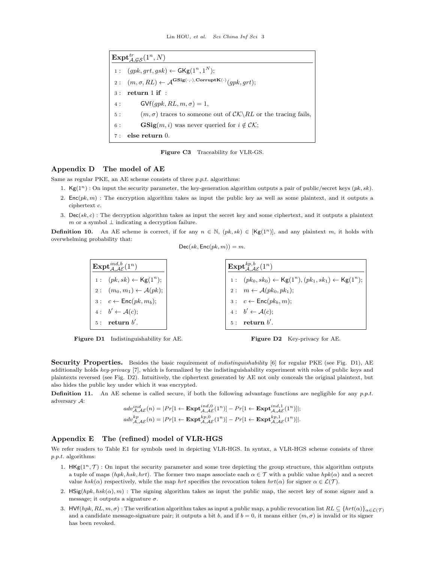<span id="page-2-0"></span> ${\rm \mathbf{Expt}}_{\mathcal{A},\mathcal{GS}}^{tr}(1^n,N)$ 1:  $(gpk, grt, gsk) \leftarrow GKg(1^n, 1^N);$  $2:\ \ \ (m,\sigma,RL)\leftarrow \mathcal{A}^{\mathbf{GSig}(\cdot,\cdot),\mathbf{CorruptK}(\cdot)}(gpk,grt);$ 3 : return 1 if : 4 : GVf $(gpk, RL, m, \sigma) = 1$ , 5 :  $(m, \sigma)$  traces to someone out of  $\mathcal{CK}\backslash RL$  or the tracing fails, 6 : **GSig** $(m, i)$  was never queried for  $i \notin \mathcal{CK}$ ; 7 : else return 0.

Figure C3 Traceability for VLR-GS.

## Appendix D The model of AE

Same as regular PKE, an AE scheme consists of three p.p.t. algorithms:

- 1. Kg( $1^n$ ) : On input the security parameter, the key-generation algorithm outputs a pair of public/secret keys  $(pk, sk)$ .
- 2.  $Enc(pk, m)$ : The encryption algorithm takes as input the public key as well as some plaintext, and it outputs a ciphertext c.
- 3.  $Dec(sk, c)$ : The decryption algorithm takes as input the secret key and some ciphertext, and it outputs a plaintext m or a symbol  $\perp$  indicating a decryption failure.

<span id="page-2-1"></span>**Definition 10.** An AE scheme is correct, if for any  $n \in \mathbb{N}$ ,  $(pk, sk) \in [Kg(1^n)]$ , and any plaintext m, it holds with overwhelming probability that:

$$
Dec(sk, Enc(pk, m)) = m.
$$

 $\mathrm{Expt}_{\mathcal{A},\mathcal{A}\mathcal{E}}^{ind,b}(1^n)$ 1:  $(pk, sk) \leftarrow \mathsf{Kg}(1^n);$ 2 :  $(m_0, m_1) \leftarrow \mathcal{A}(pk);$  $3: c \leftarrow \mathsf{Enc}(pk, m_b);$ 4 : b  $\prime \leftarrow \mathcal{A}(c);$  $5:$  return  $b'$ .  ${\rm \mathop{Expt}^{kp,b}_{\scriptscriptstyle{A}} }$  $^{kp,b}_{\mathcal{A},\mathcal{AE}}(1^n)$ 1:  $(pk_0, sk_0) \leftarrow \text{Kg}(1^n), (pk_1, sk_1) \leftarrow \text{Kg}(1^n);$  $2: m \leftarrow \mathcal{A}(pk_0, pk_1);$  $3: c \leftarrow \mathsf{Enc}(pk_b, m);$  $4: b' \leftarrow \mathcal{A}(c);$  $5:$  return  $b'$ .

Figure D1 Indistinguishability for AE.



Security Properties. Besides the basic requirement of *indistinguishability* [\[6\]](#page-7-5) for regular PKE (see Fig. [D1\)](#page-2-1), AE additionally holds key-privacy [\[7\]](#page-7-6), which is formalized by the indistinguishability experiment with roles of public keys and plaintexts reversed (see Fig. [D2\)](#page-2-1). Intuitively, the ciphertext generated by AE not only conceals the original plaintext, but also hides the public key under which it was encrypted.

**Definition 11.** An AE scheme is called secure, if both the following advantage functions are negligible for any  $p.p.t.$ adversary A:

$$
adv_{\mathcal{A},\mathcal{A}\mathcal{E}}^{ind,\ell}(n) = |Pr[1 \leftarrow \mathbf{Expt}_{\mathcal{A},\mathcal{A}\mathcal{E}}^{ind,0}(1^n)] - Pr[1 \leftarrow \mathbf{Expt}_{\mathcal{A},\mathcal{A}\mathcal{E}}^{ind,1}(1^n)]|;
$$
  

$$
adv_{\mathcal{A},\mathcal{A}\mathcal{E}}^{kp}(n) = |Pr[1 \leftarrow \mathbf{Expt}_{\mathcal{A},\mathcal{A}\mathcal{E}}^{kp,0}(1^n)] - Pr[1 \leftarrow \mathbf{Expt}_{\mathcal{A},\mathcal{A}\mathcal{E}}^{kp,1}(1^n)]|.
$$

## Appendix E The (refined) model of VLR-HGS

We refer readers to Table [E1](#page-3-0) for symbols used in depicting VLR-HGS. In syntax, a VLR-HGS scheme consists of three  $p.p.t.$  algorithms:

- 1.  $HKg(1^n, \mathcal{T})$ : On input the security parameter and some tree depicting the group structure, this algorithm outputs a tuple of maps  $(hpk, hsk, hrt)$ . The former two maps associate each  $\alpha \in \mathcal{T}$  with a public value  $hpk(\alpha)$  and a secret value hsk( $\alpha$ ) respectively, while the map hrt specifies the revocation token hrt( $\alpha$ ) for signer  $\alpha \in \mathcal{L}(\mathcal{T})$ .
- 2. HSig(hpk, hsk( $\alpha$ ), m) : The signing algorithm takes as input the public map, the secret key of some signer and a message; it outputs a signature  $\sigma$ .
- 3. HVf(hpk, RL,  $m, \sigma$ ) : The verification algorithm takes as input a public map, a public revocation list  $RL \subseteq \{hrt(\alpha)\}_{\alpha \in \mathcal{L}(\mathcal{T})}$ and a candidate message-signature pair; it outputs a bit b, and if  $b = 0$ , it means either  $(m, \sigma)$  is invalid or its signer has been revoked.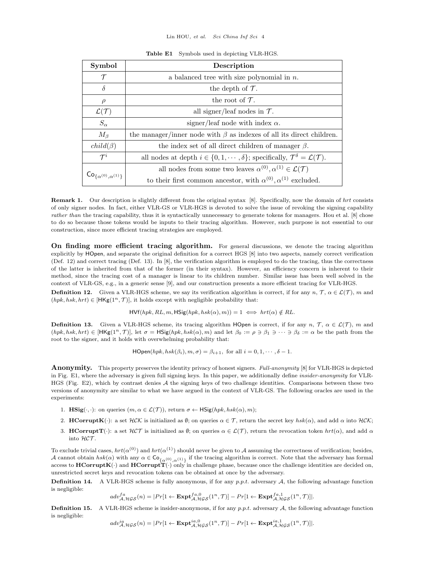<span id="page-3-0"></span>

| Symbol                                        | Description                                                                                                            |
|-----------------------------------------------|------------------------------------------------------------------------------------------------------------------------|
| $\tau$                                        | a balanced tree with size polynomial in $n$ .                                                                          |
| $\delta$                                      | the depth of $\mathcal T$ .                                                                                            |
| $\rho$                                        | the root of $\mathcal T$ .                                                                                             |
| $\mathcal{L}(\mathcal{T})$                    | all signer/leaf nodes in $\mathcal{T}$ .                                                                               |
| $S_{\alpha}$                                  | signer/leaf node with index $\alpha$ .                                                                                 |
| $M_{\beta}$                                   | the manager/inner node with $\beta$ as indexes of all its direct children.                                             |
| $child(\beta)$                                | the index set of all direct children of manager $\beta$ .                                                              |
| $\mathcal{T}^i$                               | all nodes at depth $i \in \{0, 1, \dots, \delta\}$ ; specifically, $\mathcal{T}^{\delta} = \mathcal{L}(\mathcal{T})$ . |
| $\mathsf{Co}_{\{\alpha^{(0)},\alpha^{(1)}\}}$ | all nodes from some two leaves $\alpha^{(0)}, \alpha^{(1)} \in \mathcal{L}(\mathcal{T})$                               |
|                                               | to their first common ancestor, with $\alpha^{(0)}$ , $\alpha^{(1)}$ excluded.                                         |

Table E1 Symbols used in depicting VLR-HGS.

Remark 1. Our description is slightly different from the original syntax [\[8\]](#page-7-7). Specifically, now the domain of hrt consists of only signer nodes. In fact, either VLR-GS or VLR-HGS is devoted to solve the issue of revoking the signing capability rather than the tracing capability, thus it is syntactically unnecessary to generate tokens for managers. Hou et al. [\[8\]](#page-7-7) chose to do so because those tokens would be inputs to their tracing algorithm. However, such purpose is not essential to our construction, since more efficient tracing strategies are employed.

On finding more efficient tracing algorithm. For general discussions, we denote the tracing algorithm explicitly by HOpen, and separate the original definition for a correct HGS [\[8\]](#page-7-7) into two aspects, namely correct verification (Def. [12\)](#page-3-1) and correct tracing (Def. [13\)](#page-3-2). In [\[8\]](#page-7-7), the verification algorithm is employed to do the tracing, thus the correctness of the latter is inherited from that of the former (in their syntax). However, an efficiency concern is inherent to their method, since the tracing cost of a manager is linear to its children number. Similar issue has been well solved in the context of VLR-GS, e.g., in a generic sense [\[9\]](#page-7-8), and our construction presents a more efficient tracing for VLR-HGS.

<span id="page-3-1"></span>**Definition 12.** Given a VLR-HGS scheme, we say its verification algorithm is correct, if for any  $n, \mathcal{T}, \alpha \in \mathcal{L}(\mathcal{T})$ , m and  $(hpk, hsk, hrt) \in [HKg(1^n, T)],$  it holds except with negligible probability that:

 $HVf(hpk, RL, m, HSig(hpk, hsk(\alpha), m)) = 1 \iff hrt(\alpha) \notin RL$ .

<span id="page-3-2"></span>**Definition 13.** Given a VLR-HGS scheme, its tracing algorithm HOpen is correct, if for any  $n, \mathcal{T}, \alpha \in \mathcal{L}(\mathcal{T})$ , m and  $(hpk, hsk, hrt) \in [HKg(1^n, \mathcal{T})],$  let  $\sigma = HSig(hpk, hsk(\alpha), m)$  and let  $\beta_0 := \rho \ni \beta_1 \ni \cdots \ni \beta_\delta := \alpha$  be the path from the root to the signer, and it holds with overwhelming probability that:

 $\mathsf{HOpen}(hpk, hsk(\beta_i), m, \sigma) = \beta_{i+1}, \text{ for all } i = 0, 1, \cdots, \delta - 1.$ 

Anonymity. This property preserves the identity privacy of honest signers. Full-anonymity [\[8\]](#page-7-7) for VLR-HGS is depicted in Fig. [E1,](#page-4-0) where the adversary is given full signing keys. In this paper, we additionally define insider-anonymity for VLR-HGS (Fig. [E2\)](#page-4-1), which by contrast denies A the signing keys of two challenge identities. Comparisons between these two versions of anonymity are similar to what we have argued in the context of VLR-GS. The following oracles are used in the experiments:

- 1. **HSig**( $\cdot$ , $\cdot$ ): on queries  $(m, \alpha \in \mathcal{L}(\mathcal{T}))$ , return  $\sigma \leftarrow \text{HSig}(hpk, hsk(\alpha), m)$ ;
- 2. HCorruptK(·): a set  $HCK$  is initialized as  $\emptyset$ ; on queries  $\alpha \in \mathcal{T}$ , return the secret key  $hsk(\alpha)$ , and add  $\alpha$  into  $HCK$ ;
- 3. **HCorruptT**(·): a set  $HCT$  is initialized as  $\emptyset$ ; on queries  $\alpha \in \mathcal{L}(T)$ , return the revocation token  $hrt(\alpha)$ , and add  $\alpha$ into HCT.

To exclude trivial cases,  $hrt(\alpha^{(0)})$  and  $hrt(\alpha^{(1)})$  should never be given to A assuming the correctness of verification; besides, A cannot obtain  $hsk(\alpha)$  with any  $\alpha \in \mathsf{Co}_{\{\alpha^{(0)},\alpha^{(1)}\}}$  if the tracing algorithm is correct. Note that the adversary has formal access to  $\text{HCorruptK}(\cdot)$  and  $\text{HCorruptT}(\cdot)$  only in challenge phase, because once the challenge identities are decided on, unrestricted secret keys and revocation tokens can be obtained at once by the adversary.

**Definition 14.** A VLR-HGS scheme is fully anonymous, if for any p.p.t. adversary  $A$ , the following advantage function is negligible:

$$
adv_{\mathcal{A},\mathcal{H}GS}^{fa}(n) = |Pr[1 \leftarrow \mathbf{Expt}_{\mathcal{A},\mathcal{H}GS}^{fa,0}(1^n, \mathcal{T})] - Pr[1 \leftarrow \mathbf{Expt}_{\mathcal{A},\mathcal{H}GS}^{fa,1}(1^n, \mathcal{T})]|.
$$

<span id="page-3-3"></span>**Definition 15.** A VLR-HGS scheme is insider-anonymous, if for any  $p.p.t.$  adversary  $A$ , the following advantage function is negligible:

$$
adv^{ia}_{\mathcal{A},\mathcal{HGS}}(n) = |Pr[1 \leftarrow \mathbf{Expt}^{ia,0}_{\mathcal{A},\mathcal{HGS}}(1^n, \mathcal{T})] - Pr[1 \leftarrow \mathbf{Expt}^{ia,1}_{\mathcal{A},\mathcal{HGS}}(1^n, \mathcal{T})]|.
$$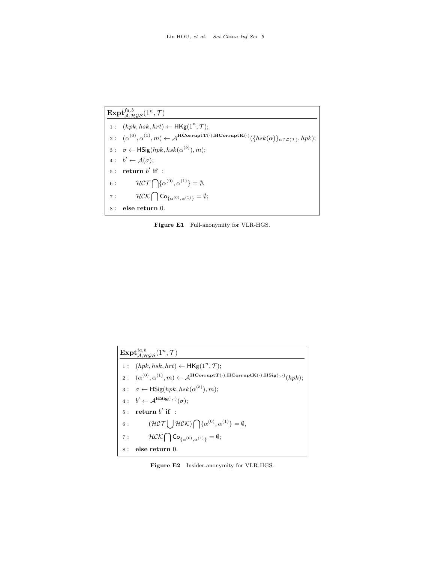<span id="page-4-0"></span> $\mathrm{Expt}_{\mathcal{A},\mathcal{HGS}}^{fa,b}(1^n,\mathcal{T})$ 1:  $(hpk, hsk, hrt) \leftarrow \mathsf{HKg}(1^n, \mathcal{T});$  $2:\ \ \ (\alpha^{(0)},\alpha^{(1)},m)\leftarrow\mathcal{A}^{\textbf{HCorruptT}(\cdot),\textbf{HCorruptK}(\cdot)}(\{hsk(\alpha)\}_{\alpha\in\mathcal{L}(\mathcal{T})},hpk);$ 3:  $\sigma \leftarrow \textsf{HSig}(hpk, hsk(\alpha^{(b)}), m);$  $4: b' \leftarrow \mathcal{A}(\sigma);$  $5:$  return  $b'$  if : 6 :  $\mathcal{HCT} \bigcap {\alpha^{(0)}, \alpha^{(1)}} = \emptyset,$ 7 :  $\mathcal{HCK} \bigcap \mathsf{Co}_{\{\alpha^{(0)},\alpha^{(1)}\}} = \emptyset;$  $8$  : else return  $0.$ 

Figure E1 Full-anonymity for VLR-HGS.

<span id="page-4-1"></span>

| $\mathrm{Expt}_{A\mathcal{H}GS}^{ia,b}(1^n,\mathcal{T})$ |                                                                                                                                       |  |
|----------------------------------------------------------|---------------------------------------------------------------------------------------------------------------------------------------|--|
|                                                          | 1: $(hpk, hsk, hrt) \leftarrow \mathsf{HKg}(1^n, \mathcal{T});$                                                                       |  |
|                                                          | 2: $(\alpha^{(0)}, \alpha^{(1)}, m) \leftarrow A^{\text{HCorruptT}(\cdot), \text{HCorruptK}(\cdot), \text{HSig}(\cdot, \cdot)}(hpk);$ |  |
|                                                          | $3: \quad \sigma \leftarrow \mathsf{HSig}(hpk, hsk(\alpha^{(b)}), m);$                                                                |  |
|                                                          | 4: $b' \leftarrow A^{\mathbf{HSig}(\cdot,\cdot)}(\sigma);$                                                                            |  |
| 5:                                                       | return $b'$ if :                                                                                                                      |  |
| $6$ :                                                    | $(\mathcal{H}\mathcal{CT}\bigcup\mathcal{H}\mathcal{CK})\bigcap\{\alpha^{(0)},\alpha^{(1)}\}=\emptyset,$                              |  |
| 7:                                                       | $HCK \bigcap Co_{f_{\alpha}(0),\alpha^{(1)}\}} = \emptyset;$                                                                          |  |
| 8:                                                       | else return 0.                                                                                                                        |  |

Figure E2 Insider-anonymity for VLR-HGS.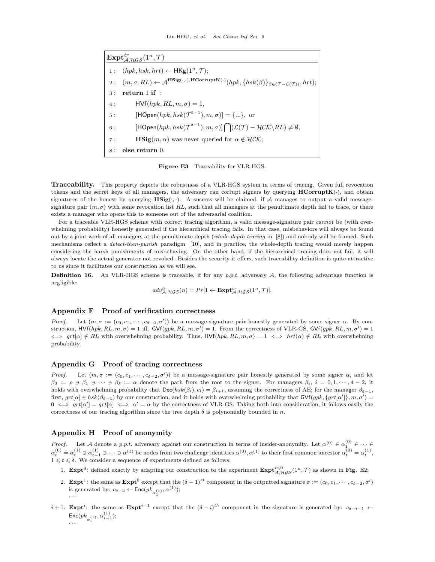<span id="page-5-0"></span> $\mathrm{Expt}^{tr}_{\mathcal{A},\mathcal{HGS}}(1^n,\mathcal{T})$ 1:  $(hpk, hsk, hrt) \leftarrow \mathsf{HKg}(1^n, \mathcal{T});$  $2:\quad (m,\sigma,RL) \leftarrow \mathcal{A}^{\mathbf{HSig}(\cdot,\cdot),\mathbf{HCorruptK}(\cdot)}(hpk,\{hsk(\beta)\}_{\beta\in(\mathcal{T-L(\mathcal{T})})},hrt);$ 3 : return 1 if : 4 :  $HVf(hpk, RL, m, \sigma) = 1$ , 5:  $[\textsf{HOpen}(hpk, hsk(\mathcal{T}^{\delta-1}), m, \sigma)] = {\perp}, \text{ or}$ 6 :  $[\mathsf{HOpen}(hpk, hsk(\mathcal{T}^{\delta-1}), m, \sigma)]\bigcap (\mathcal{L}(\mathcal{T}) - \mathcal{HCK}\backslash RL) \neq \emptyset,$ 7 : **HSig** $(m, \alpha)$  was never queried for  $\alpha \notin HCK$ ; 8 : else return 0.

Figure E3 Traceability for VLR-HGS.

**Traceability.** This property depicts the robustness of a VLR-HGS system in terms of tracing. Given full revocation tokens and the secret keys of all managers, the adversary can corrupt signers by querying  $\bf{HCorruptK}(\cdot)$ , and obtain signatures of the honest by querying  $\mathbf{HSig}(\cdot, \cdot)$ . A success will be claimed, if A manages to output a valid messagesignature pair  $(m, \sigma)$  with some revocation list RL, such that all managers at the penultimate depth fail to trace, or there exists a manager who opens this to someone out of the adversarial coalition.

For a traceable VLR-HGS scheme with correct tracing algorithm, a valid message-signature pair *cannot* be (with overwhelming probability) honestly generated if the hierarchical tracing fails. In that case, misbehaviors will always be found out by a joint work of all managers at the penultimate depth (whole-depth tracing in [\[8\]](#page-7-7)) and nobody will be framed. Such mechanisms reflect a detect-then-punish paradigm [\[10\]](#page-7-9), and in practice, the whole-depth tracing would merely happen considering the harsh punishments of misbehaving. On the other hand, if the hierarchical tracing does not fail, it will always locate the actual generator not revoked. Besides the security it offers, such traceability definition is quite attractive to us since it facilitates our construction as we will see.

**Definition 16.** An VLR-HGS scheme is traceable, if for any  $p.p.t.$  adversary  $A$ , the following advantage function is negligible:

$$
adv_{\mathcal{A}, \mathcal{HGS}}^{tr}(n) = Pr[1 \leftarrow \mathbf{Expt}_{\mathcal{A}, \mathcal{HGS}}^{tr}(1^n, \mathcal{T})].
$$

## Appendix F Proof of verification correctness

Proof. Let  $(m, \sigma) = (c_0, c_1, \dots, c_{\delta-2}, \sigma')$  be a message-signature pair honestly generated by some signer  $\alpha$ . By construction,  $HVf(hpk, RL, m, \sigma) = 1$  iff.  $GVf(gpk, RL, m, \sigma') = 1$ . From the correctness of VLR-GS,  $GVf(gpk, RL, m, \sigma') = 1$  $\iff \text{grt}[\alpha] \notin RL$  with overwhelming probability. Thus,  $\text{HVf}(hpk, RL, m, \sigma) = 1 \iff \text{hrt}(\alpha) \notin RL$  with overwhelming probability.

#### Appendix G Proof of tracing correctness

*Proof.* Let  $(m, \sigma) = (c_0, c_1, \dots, c_{\delta-2}, \sigma')$  be a message-signature pair honestly generated by some signer  $\alpha$ , and let  $\beta_0 := \rho \ni \beta_1 \ni \cdots \ni \beta_\delta := \alpha$  denote the path from the root to the signer. For managers  $\beta_i$ ,  $i = 0, 1, \cdots, \delta - 2$ , it holds with overwhelming probability that  $\text{Dec}(hsk(\beta_i), c_i) = \beta_{i+1}$ , assuming the correctness of AE; for the manager  $\beta_{\delta-1}$ , first,  $grt[\alpha] \in \hbar sk(\beta_{\delta-1})$  by our construction, and it holds with overwhelming probability that  $\mathsf{GVf}(gpk, \{grt[\alpha']\}, m, \sigma') =$  $0 \iff grt[\alpha] \iff \alpha' = \alpha$  by the correctness of VLR-GS. Taking both into consideration, it follows easily the correctness of our tracing algorithm since the tree depth  $\delta$  is polynomially bounded in n.

#### Appendix H Proof of anonymity

· · ·

*Proof.* Let A denote a p.p.t. adversary against our construction in terms of insider-anonymity. Let  $\alpha^{(0)} \in \alpha_1^{(0)} \in \cdots \in$  $\alpha_t^{(0)} = \alpha_t^{(1)} \ni \alpha_{t-1}^{(1)} \ni \cdots \ni \alpha^{(1)}$  be nodes from two challenge identities  $\alpha^{(0)}$ ,  $\alpha^{(1)}$  to their first common ancestor  $\alpha_t^{(0)} = \alpha_t^{(1)}$ ,  $1 \leq t \leq \delta$ . We consider a sequence of experiments defined as follows:

- 1. **Expt**<sup>0</sup>: defined exactly by adapting our construction to the experiment  $\text{Expt}_{\mathcal{A},\mathcal{HGS}}^{ia,0}(1^n,\mathcal{T})$  as shown in Fig. [E2;](#page-4-1)
- 2. **Expt**<sup>1</sup>: the same as  $\text{Expt}^0$  except that the  $(\delta 1)^{st}$  component in the outputted signature  $\sigma := (c_0, c_1, \dots, c_{\delta-2}, \sigma')$ is generated by:  $c_{\delta-2} \leftarrow \mathsf{Enc}(pk_{\alpha_1^{(1)}}, \alpha^{(1)});$
- $i+1$ . Expt<sup>i</sup>: the same as Expt<sup>i-1</sup> except that the  $(\delta i)^{th}$  component in the signature is generated by:  $c_{\delta-i-1} \leftarrow$  $\mathsf{Enc}(pk_{\alpha^{(1)}_i}, \alpha^{(1)}_{i-1});$ · · ·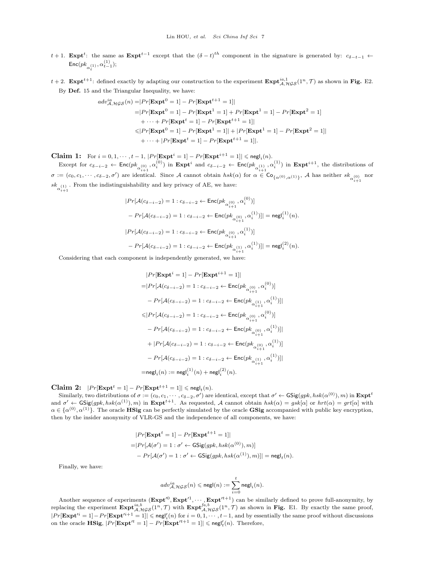- t + 1. Expt<sup>t</sup>: the same as Expt<sup>t-1</sup> except that the  $(\delta t)^{th}$  component in the signature is generated by:  $c_{\delta-t-1} \leftarrow$  $\mathsf{Enc}(pk_{\alpha^{(1)}_t}, \alpha^{(1)}_{t-1});$
- $t+2$ . **Expt**<sup>t+1</sup>: defined exactly by adapting our construction to the experiment  $\text{Expt}_{\mathcal{A},\mathcal{HGS}}^{ia,1}(1^n,\mathcal{T})$  as shown in **Fig.** [E2.](#page-4-1) By Def. [15](#page-3-3) and the Triangular Inequality, we have:

$$
adv_{\mathcal{A},\mathcal{HGS}}^{ia}(n) = |Pr[\mathbf{Expt}^{0} = 1] - Pr[\mathbf{Expt}^{t+1} = 1]|
$$
  
\n
$$
= |Pr[\mathbf{Expt}^{0} = 1] - Pr[\mathbf{Expt}^{1} = 1] + Pr[\mathbf{Expt}^{1} = 1] - Pr[\mathbf{Expt}^{2} = 1]
$$
  
\n
$$
+ \cdots + Pr[\mathbf{Expt}^{t} = 1] - Pr[\mathbf{Expt}^{t+1} = 1]|
$$
  
\n
$$
\leq |Pr[\mathbf{Expt}^{0} = 1] - Pr[\mathbf{Expt}^{1} = 1]| + |Pr[\mathbf{Expt}^{1} = 1] - Pr[\mathbf{Expt}^{2} = 1]|
$$
  
\n
$$
+ \cdots + |Pr[\mathbf{Expt}^{t} = 1] - Pr[\mathbf{Expt}^{t+1} = 1]|.
$$

**Claim 1:** For  $i = 0, 1, \dots, t - 1$ ,  $|Pr[\text{Expt}^i = 1] - Pr[\text{Expt}^{i+1} = 1]| \leqslant \text{negl}_i(n)$ .

Except for  $c_{\delta-i-2} \leftarrow \text{Enc}(pk_{\alpha_{i-1}^{(0)},\alpha_i^{(0)}})$  in  $\text{Expt}^i$  and  $c_{\delta-i-2} \leftarrow \text{Enc}(pk_{\alpha_{i-1}^{(1)},\alpha_i^{(1)}})$  in  $\text{Expt}^{i+1}$ , the distributions of  $\sigma := (c_0, c_1, \dots, c_{\delta-2}, \sigma')$  are identical. Since A cannot obtain  $hsk(\alpha)$  for  $\alpha \in \text{Co}_{\{\alpha^{(0)}, \alpha^{(1)}\}}$ , A has neither  $sk_{\alpha^{(0)}_{i+1}}$  nor  $sk_{\alpha_{i+1}^{(1)}}$  . From the indistinguishability and key privacy of AE, we have:

$$
\begin{aligned} &|Pr[\mathcal{A}(c_{\delta-i-2})=1:c_{\delta-i-2} \leftarrow \mathsf{Enc}(pk_{\alpha_{i+1}^{(0)}},\alpha_i^{(0)})]\\ &-Pr[\mathcal{A}(c_{\delta-i-2})=1:c_{\delta-i-2} \leftarrow \mathsf{Enc}(pk_{\alpha_{i+1}^{(0)}},\alpha_i^{(1)})]|=\mathsf{negl}_i^{(1)}(n).\\ &|Pr[\mathcal{A}(c_{\delta-i-2})=1:c_{\delta-i-2} \leftarrow \mathsf{Enc}(pk_{\alpha_{i+1}^{(0)}},\alpha_i^{(1)})]\\ &-Pr[\mathcal{A}(c_{\delta-i-2})=1:c_{\delta-i-2} \leftarrow \mathsf{Enc}(pk_{\alpha_{i+1}^{(1)}},\alpha_i^{(1)})]|=\mathsf{negl}_i^{(2)}(n). \end{aligned}
$$

Considering that each component is independently generated, we have:

$$
\begin{aligned} &|Pr[\mathbf{Expt}^i=1] - Pr[\mathbf{Expt}^{i+1}=1] | \\ =&|Pr[\mathcal{A}(c_{\delta-i-2})=1:c_{\delta-i-2}\leftarrow \mathsf{Enc}(pk_{\alpha_{i+1}^{(0)}},\alpha_i^{(0)})] \\ &-Pr[\mathcal{A}(c_{\delta-i-2})=1:c_{\delta-i-2}\leftarrow \mathsf{Enc}(pk_{\alpha_{i+1}^{(1)}},\alpha_i^{(1)})] | \\ \leqslant&|Pr[\mathcal{A}(c_{\delta-i-2})=1:c_{\delta-i-2}\leftarrow \mathsf{Enc}(pk_{\alpha_{i+1}^{(0)}},\alpha_i^{(0)})] \\ &-Pr[\mathcal{A}(c_{\delta-i-2})=1:c_{\delta-i-2}\leftarrow \mathsf{Enc}(pk_{\alpha_{i+1}^{(0)}},\alpha_i^{(1)})] | \\ &+|Pr[\mathcal{A}(c_{\delta-i-2})=1:c_{\delta-i-2}\leftarrow \mathsf{Enc}(pk_{\alpha_{i+1}^{(0)}},\alpha_i^{(1)})] \\ &-Pr[\mathcal{A}(c_{\delta-i-2})=1:c_{\delta-i-2}\leftarrow \mathsf{Enc}(pk_{\alpha_{i+1}^{(1)}},\alpha_i^{(1)})] | \\ =& \mathsf{negl}_i(n):=\mathsf{negl}_i^{(1)}(n)+\mathsf{negl}_i^{(2)}(n). \end{aligned}
$$

 $\textbf{Claim 2:} \ \ |Pr[\textbf{Expt}^t = 1] - Pr[\textbf{Expt}^{t+1} = 1]| \leqslant {\mathsf{negl}}_t(n).$ 

Similarly, two distributions of  $\sigma := (c_0, c_1, \cdots, c_{\delta-2}, \sigma')$  are identical, except that  $\sigma' \leftarrow \mathsf{GSig}(gpk, hsk(\alpha^{(0)}), m)$  in  $\mathbf{Expt}^t$ and  $\sigma' \leftarrow \text{GSig}(gpk, hsk(\alpha^{(1)}), m)$  in  $\text{Expt}^{t+1}$ . As requested, A cannot obtain  $hsk(\alpha) = gsk[\alpha]$  or  $hrt(\alpha) = grt[\alpha]$  with  $\alpha \in {\{\alpha^{(0)},\alpha^{(1)}\}}$ . The oracle **HSig** can be perfectly simulated by the oracle **GSig** accompanied with public key encryption, then by the insider anonymity of VLR-GS and the independence of all components, we have:

$$
|Pr[\mathbf{Expt}^t = 1] - Pr[\mathbf{Expt}^{t+1} = 1]|
$$
  
=|Pr[\mathcal{A}(\sigma') = 1 : \sigma' \leftarrow GSig(gpk, hsk(\alpha^{(0)}), m)]  
- Pr[\mathcal{A}(\sigma') = 1 : \sigma' \leftarrow GSig(gpk, hsk(\alpha^{(1)}), m)]| = negl\_t(n).

Finally, we have:

$$
adv^{ia}_{\mathcal{A},\mathcal{HGS}}(n) \leqslant {\sf negl}(n) := \sum_{i=0}^t {\sf negl}_i(n).
$$

Another sequence of experiments  $(\mathbf{Exp}t^{0}, \mathbf{Exp}t^{1}, \cdots, \mathbf{Exp}t^{t+1})$  can be similarly defined to prove full-anonymity, by replacing the experiment  $\text{Expt}_{\mathcal{A},\mathcal{HGS}}^{ia,b}(1^n,\mathcal{T})$  with  $\text{Expt}_{\mathcal{A},\mathcal{HGS}}^{fa,b}(1^n,\mathcal{T})$  as shown in Fig. [E1.](#page-4-0) By exactly the same proof,  $|Pr[\textbf{Expt}^{\prime i} = 1] - Pr[\textbf{Expt}^{\prime i+1} = 1]| \leqslant \mathsf{negl}'_i(n) \text{ for } i = 0, 1, \cdots, t-1, \text{ and by essentially the same proof without discussions}$ on the oracle  $\mathbf{HSig},$   $|Pr[\mathbf{Expt'}^t = 1] - Pr[\mathbf{Expt'}^{t+1} = 1]| \leqslant \mathsf{negl}'_t(n)$ . Therefore,